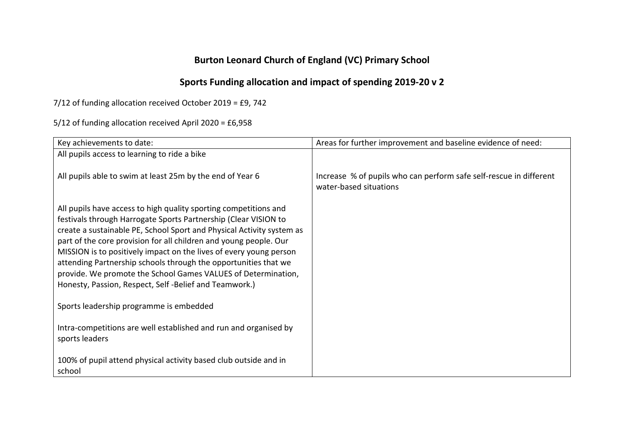## **Burton Leonard Church of England (VC) Primary School**

## **Sports Funding allocation and impact of spending 2019-20 v 2**

7/12 of funding allocation received October 2019 = £9, 742

5/12 of funding allocation received April 2020 = £6,958

| Key achievements to date:                                                                                                                                                                                                                                                                                                                                                                                                                                                                                                                            | Areas for further improvement and baseline evidence of need:                                 |
|------------------------------------------------------------------------------------------------------------------------------------------------------------------------------------------------------------------------------------------------------------------------------------------------------------------------------------------------------------------------------------------------------------------------------------------------------------------------------------------------------------------------------------------------------|----------------------------------------------------------------------------------------------|
| All pupils access to learning to ride a bike                                                                                                                                                                                                                                                                                                                                                                                                                                                                                                         |                                                                                              |
| All pupils able to swim at least 25m by the end of Year 6                                                                                                                                                                                                                                                                                                                                                                                                                                                                                            | Increase % of pupils who can perform safe self-rescue in different<br>water-based situations |
| All pupils have access to high quality sporting competitions and<br>festivals through Harrogate Sports Partnership (Clear VISION to<br>create a sustainable PE, School Sport and Physical Activity system as<br>part of the core provision for all children and young people. Our<br>MISSION is to positively impact on the lives of every young person<br>attending Partnership schools through the opportunities that we<br>provide. We promote the School Games VALUES of Determination,<br>Honesty, Passion, Respect, Self-Belief and Teamwork.) |                                                                                              |
| Sports leadership programme is embedded                                                                                                                                                                                                                                                                                                                                                                                                                                                                                                              |                                                                                              |
| Intra-competitions are well established and run and organised by<br>sports leaders                                                                                                                                                                                                                                                                                                                                                                                                                                                                   |                                                                                              |
| 100% of pupil attend physical activity based club outside and in<br>school                                                                                                                                                                                                                                                                                                                                                                                                                                                                           |                                                                                              |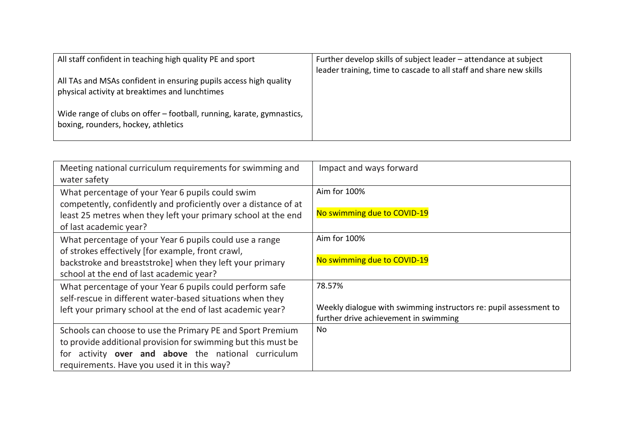| All staff confident in teaching high quality PE and sport<br>All TAs and MSAs confident in ensuring pupils access high quality<br>physical activity at breaktimes and lunchtimes | Further develop skills of subject leader – attendance at subject<br>leader training, time to cascade to all staff and share new skills |
|----------------------------------------------------------------------------------------------------------------------------------------------------------------------------------|----------------------------------------------------------------------------------------------------------------------------------------|
| Wide range of clubs on offer - football, running, karate, gymnastics,<br>boxing, rounders, hockey, athletics                                                                     |                                                                                                                                        |

| Meeting national curriculum requirements for swimming and<br>water safety | Impact and ways forward                                           |
|---------------------------------------------------------------------------|-------------------------------------------------------------------|
| What percentage of your Year 6 pupils could swim                          | Aim for 100%                                                      |
| competently, confidently and proficiently over a distance of at           |                                                                   |
| least 25 metres when they left your primary school at the end             | No swimming due to COVID-19                                       |
| of last academic year?                                                    |                                                                   |
| What percentage of your Year 6 pupils could use a range                   | Aim for 100%                                                      |
| of strokes effectively [for example, front crawl,                         |                                                                   |
| backstroke and breaststroke] when they left your primary                  | No swimming due to COVID-19                                       |
| school at the end of last academic year?                                  |                                                                   |
| What percentage of your Year 6 pupils could perform safe                  | 78.57%                                                            |
| self-rescue in different water-based situations when they                 |                                                                   |
| left your primary school at the end of last academic year?                | Weekly dialogue with swimming instructors re: pupil assessment to |
|                                                                           | further drive achievement in swimming                             |
| Schools can choose to use the Primary PE and Sport Premium                | No                                                                |
| to provide additional provision for swimming but this must be             |                                                                   |
| activity over and above the national curriculum<br>for                    |                                                                   |
| requirements. Have you used it in this way?                               |                                                                   |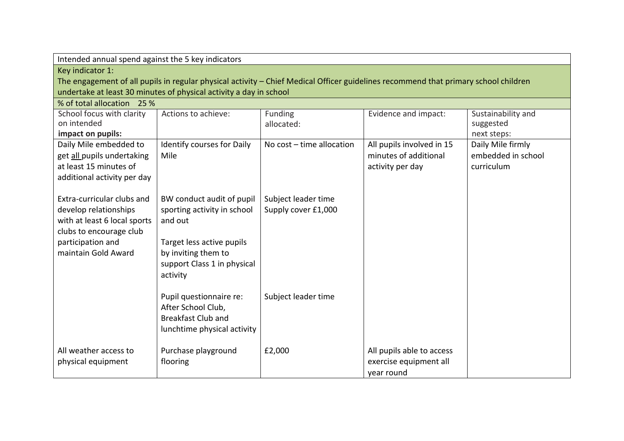| Intended annual spend against the 5 key indicators |                                                                                                                                     |                             |                           |                    |
|----------------------------------------------------|-------------------------------------------------------------------------------------------------------------------------------------|-----------------------------|---------------------------|--------------------|
| Key indicator 1:                                   |                                                                                                                                     |                             |                           |                    |
|                                                    | The engagement of all pupils in regular physical activity – Chief Medical Officer guidelines recommend that primary school children |                             |                           |                    |
|                                                    | undertake at least 30 minutes of physical activity a day in school                                                                  |                             |                           |                    |
| % of total allocation 25 %                         |                                                                                                                                     |                             |                           |                    |
| School focus with clarity                          | Actions to achieve:                                                                                                                 | Funding                     | Evidence and impact:      | Sustainability and |
| on intended                                        |                                                                                                                                     | allocated:                  |                           | suggested          |
| impact on pupils:                                  |                                                                                                                                     |                             |                           | next steps:        |
| Daily Mile embedded to                             | <b>Identify courses for Daily</b>                                                                                                   | No $cost - time$ allocation | All pupils involved in 15 | Daily Mile firmly  |
| get all pupils undertaking                         | Mile                                                                                                                                |                             | minutes of additional     | embedded in school |
| at least 15 minutes of                             |                                                                                                                                     |                             | activity per day          | curriculum         |
| additional activity per day                        |                                                                                                                                     |                             |                           |                    |
|                                                    |                                                                                                                                     |                             |                           |                    |
| Extra-curricular clubs and                         | BW conduct audit of pupil                                                                                                           | Subject leader time         |                           |                    |
| develop relationships                              | sporting activity in school                                                                                                         | Supply cover £1,000         |                           |                    |
| with at least 6 local sports                       | and out                                                                                                                             |                             |                           |                    |
| clubs to encourage club                            |                                                                                                                                     |                             |                           |                    |
| participation and                                  | Target less active pupils                                                                                                           |                             |                           |                    |
| maintain Gold Award                                | by inviting them to                                                                                                                 |                             |                           |                    |
|                                                    | support Class 1 in physical                                                                                                         |                             |                           |                    |
|                                                    | activity                                                                                                                            |                             |                           |                    |
|                                                    |                                                                                                                                     |                             |                           |                    |
|                                                    | Pupil questionnaire re:                                                                                                             | Subject leader time         |                           |                    |
|                                                    | After School Club,                                                                                                                  |                             |                           |                    |
|                                                    | <b>Breakfast Club and</b>                                                                                                           |                             |                           |                    |
|                                                    | lunchtime physical activity                                                                                                         |                             |                           |                    |
|                                                    |                                                                                                                                     |                             |                           |                    |
| All weather access to                              | Purchase playground                                                                                                                 | £2,000                      | All pupils able to access |                    |
| physical equipment                                 | flooring                                                                                                                            |                             | exercise equipment all    |                    |
|                                                    |                                                                                                                                     |                             | year round                |                    |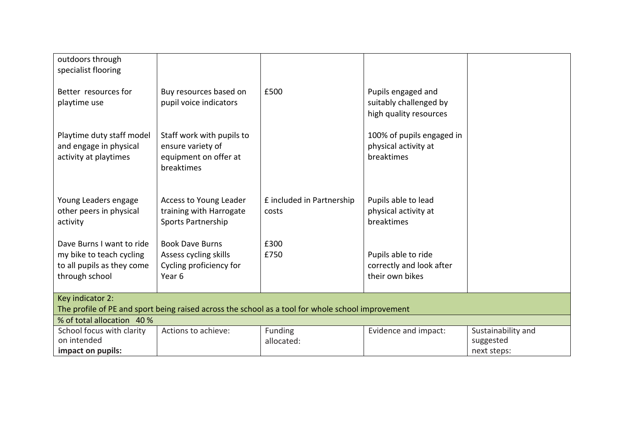| outdoors through<br>specialist flooring                                                                                         |                                                                                                 |                                    |                                                                        |                                                |
|---------------------------------------------------------------------------------------------------------------------------------|-------------------------------------------------------------------------------------------------|------------------------------------|------------------------------------------------------------------------|------------------------------------------------|
| Better resources for<br>playtime use                                                                                            | Buy resources based on<br>pupil voice indicators                                                | £500                               | Pupils engaged and<br>suitably challenged by<br>high quality resources |                                                |
| Playtime duty staff model<br>and engage in physical<br>activity at playtimes                                                    | Staff work with pupils to<br>ensure variety of<br>equipment on offer at<br>breaktimes           |                                    | 100% of pupils engaged in<br>physical activity at<br>breaktimes        |                                                |
| Young Leaders engage<br>other peers in physical<br>activity                                                                     | Access to Young Leader<br>training with Harrogate<br>Sports Partnership                         | £ included in Partnership<br>costs | Pupils able to lead<br>physical activity at<br>breaktimes              |                                                |
| Dave Burns I want to ride<br>my bike to teach cycling<br>to all pupils as they come<br>through school                           | <b>Book Dave Burns</b><br>Assess cycling skills<br>Cycling proficiency for<br>Year <sub>6</sub> | £300<br>£750                       | Pupils able to ride<br>correctly and look after<br>their own bikes     |                                                |
| Key indicator 2:                                                                                                                |                                                                                                 |                                    |                                                                        |                                                |
| The profile of PE and sport being raised across the school as a tool for whole school improvement<br>% of total allocation 40 % |                                                                                                 |                                    |                                                                        |                                                |
| School focus with clarity<br>on intended<br>impact on pupils:                                                                   | Actions to achieve:                                                                             | Funding<br>allocated:              | Evidence and impact:                                                   | Sustainability and<br>suggested<br>next steps: |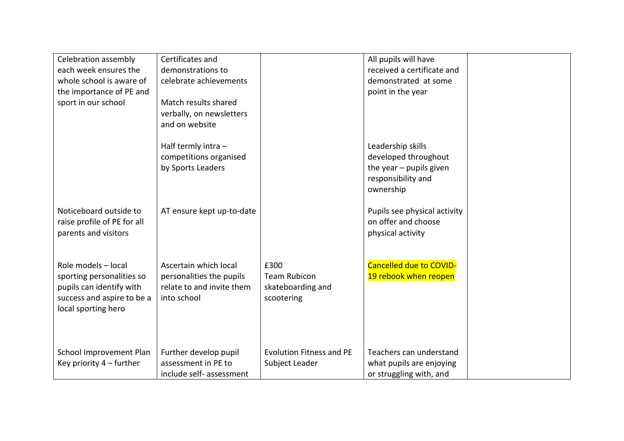| Celebration assembly<br>each week ensures the<br>whole school is aware of<br>the importance of PE and<br>sport in our school      | Certificates and<br>demonstrations to<br>celebrate achievements<br>Match results shared<br>verbally, on newsletters |                                                                | All pupils will have<br>received a certificate and<br>demonstrated at some<br>point in the year           |  |
|-----------------------------------------------------------------------------------------------------------------------------------|---------------------------------------------------------------------------------------------------------------------|----------------------------------------------------------------|-----------------------------------------------------------------------------------------------------------|--|
|                                                                                                                                   | and on website<br>Half termly intra $-$<br>competitions organised<br>by Sports Leaders                              |                                                                | Leadership skills<br>developed throughout<br>the year $-$ pupils given<br>responsibility and<br>ownership |  |
| Noticeboard outside to<br>raise profile of PE for all<br>parents and visitors                                                     | AT ensure kept up-to-date                                                                                           |                                                                | Pupils see physical activity<br>on offer and choose<br>physical activity                                  |  |
| Role models - local<br>sporting personalities so<br>pupils can identify with<br>success and aspire to be a<br>local sporting hero | Ascertain which local<br>personalities the pupils<br>relate to and invite them<br>into school                       | £300<br><b>Team Rubicon</b><br>skateboarding and<br>scootering | <b>Cancelled due to COVID-</b><br>19 rebook when reopen                                                   |  |
| School Improvement Plan<br>Key priority $4$ – further                                                                             | Further develop pupil<br>assessment in PE to<br>include self- assessment                                            | <b>Evolution Fitness and PE</b><br>Subject Leader              | Teachers can understand<br>what pupils are enjoying<br>or struggling with, and                            |  |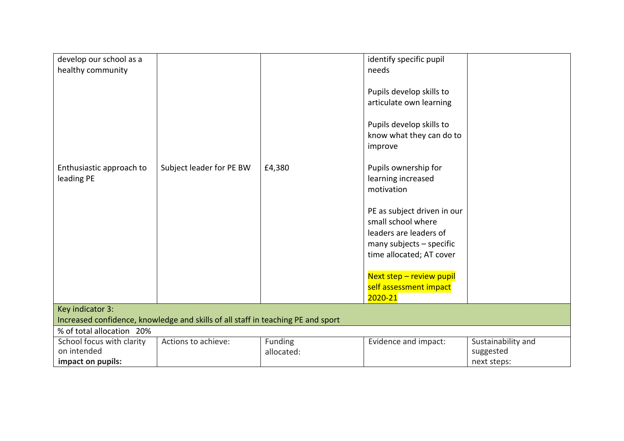| develop our school as a                                                          |                          |            | identify specific pupil     |                    |  |
|----------------------------------------------------------------------------------|--------------------------|------------|-----------------------------|--------------------|--|
| healthy community                                                                |                          |            | needs                       |                    |  |
|                                                                                  |                          |            |                             |                    |  |
|                                                                                  |                          |            | Pupils develop skills to    |                    |  |
|                                                                                  |                          |            | articulate own learning     |                    |  |
|                                                                                  |                          |            |                             |                    |  |
|                                                                                  |                          |            | Pupils develop skills to    |                    |  |
|                                                                                  |                          |            | know what they can do to    |                    |  |
|                                                                                  |                          |            | improve                     |                    |  |
|                                                                                  |                          |            |                             |                    |  |
| Enthusiastic approach to                                                         | Subject leader for PE BW | £4,380     | Pupils ownership for        |                    |  |
| leading PE                                                                       |                          |            | learning increased          |                    |  |
|                                                                                  |                          |            | motivation                  |                    |  |
|                                                                                  |                          |            |                             |                    |  |
|                                                                                  |                          |            | PE as subject driven in our |                    |  |
|                                                                                  |                          |            | small school where          |                    |  |
|                                                                                  |                          |            | leaders are leaders of      |                    |  |
|                                                                                  |                          |            | many subjects - specific    |                    |  |
|                                                                                  |                          |            | time allocated; AT cover    |                    |  |
|                                                                                  |                          |            |                             |                    |  |
|                                                                                  |                          |            | Next step - review pupil    |                    |  |
|                                                                                  |                          |            | self assessment impact      |                    |  |
|                                                                                  |                          |            | 2020-21                     |                    |  |
| Key indicator 3:                                                                 |                          |            |                             |                    |  |
| Increased confidence, knowledge and skills of all staff in teaching PE and sport |                          |            |                             |                    |  |
| % of total allocation 20%                                                        |                          |            |                             |                    |  |
| School focus with clarity                                                        | Actions to achieve:      | Funding    | Evidence and impact:        | Sustainability and |  |
| on intended                                                                      |                          | allocated: |                             | suggested          |  |
| impact on pupils:                                                                |                          |            |                             | next steps:        |  |
|                                                                                  |                          |            |                             |                    |  |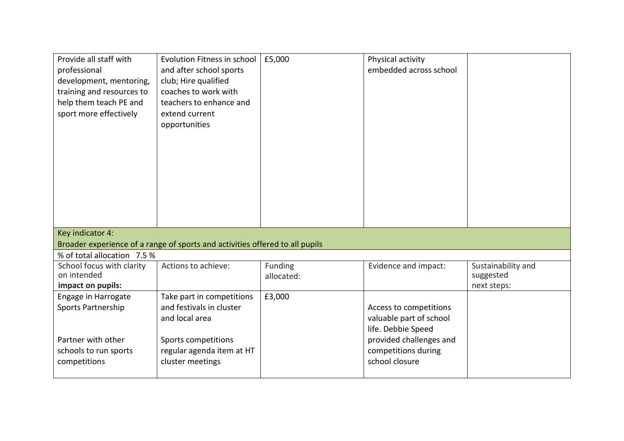| Provide all staff with<br>professional<br>development, mentoring,<br>training and resources to<br>help them teach PE and<br>sport more effectively | Evolution Fitness in school<br>and after school sports<br>club; Hire qualified<br>coaches to work with<br>teachers to enhance and<br>extend current<br>opportunities | £5,000                | Physical activity<br>embedded across school                                                        |                                                |  |
|----------------------------------------------------------------------------------------------------------------------------------------------------|----------------------------------------------------------------------------------------------------------------------------------------------------------------------|-----------------------|----------------------------------------------------------------------------------------------------|------------------------------------------------|--|
|                                                                                                                                                    |                                                                                                                                                                      |                       |                                                                                                    |                                                |  |
| Key indicator 4:<br>Broader experience of a range of sports and activities offered to all pupils                                                   |                                                                                                                                                                      |                       |                                                                                                    |                                                |  |
| % of total allocation 7.5 %                                                                                                                        |                                                                                                                                                                      |                       |                                                                                                    |                                                |  |
| School focus with clarity<br>on intended<br>impact on pupils:                                                                                      | Actions to achieve:                                                                                                                                                  | Funding<br>allocated: | Evidence and impact:                                                                               | Sustainability and<br>suggested<br>next steps: |  |
| Engage in Harrogate<br>Sports Partnership<br>Partner with other                                                                                    | Take part in competitions<br>and festivals in cluster<br>and local area<br>Sports competitions                                                                       | £3,000                | Access to competitions<br>valuable part of school<br>life. Debbie Speed<br>provided challenges and |                                                |  |
| schools to run sports<br>competitions                                                                                                              | regular agenda item at HT<br>cluster meetings                                                                                                                        |                       | competitions during<br>school closure                                                              |                                                |  |